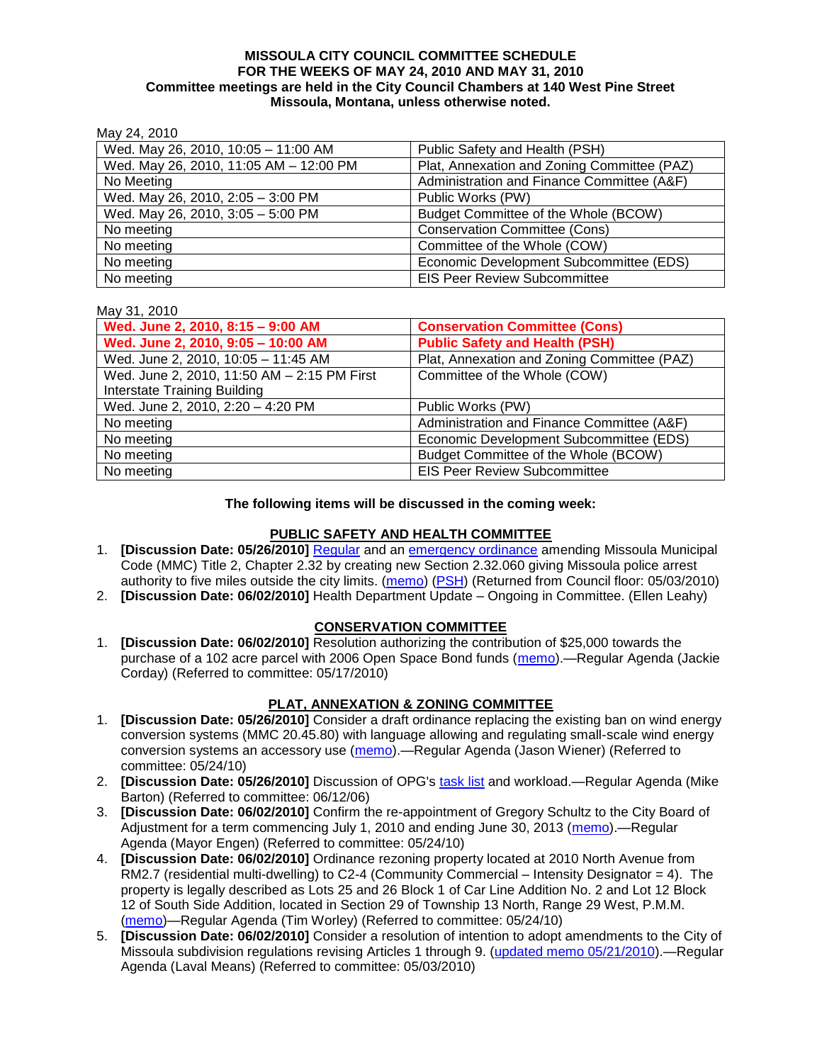#### **MISSOULA CITY COUNCIL COMMITTEE SCHEDULE FOR THE WEEKS OF MAY 24, 2010 AND MAY 31, 2010 Committee meetings are held in the City Council Chambers at 140 West Pine Street Missoula, Montana, unless otherwise noted.**

May 24, 2010

| Wed. May 26, 2010, 10:05 - 11:00 AM    | Public Safety and Health (PSH)              |
|----------------------------------------|---------------------------------------------|
| Wed. May 26, 2010, 11:05 AM - 12:00 PM | Plat, Annexation and Zoning Committee (PAZ) |
| No Meeting                             | Administration and Finance Committee (A&F)  |
| Wed. May 26, 2010, 2:05 - 3:00 PM      | Public Works (PW)                           |
| Wed. May 26, 2010, 3:05 - 5:00 PM      | Budget Committee of the Whole (BCOW)        |
| No meeting                             | <b>Conservation Committee (Cons)</b>        |
| No meeting                             | Committee of the Whole (COW)                |
| No meeting                             | Economic Development Subcommittee (EDS)     |
| No meeting                             | <b>EIS Peer Review Subcommittee</b>         |

#### May 31, 2010

| Wed. June 2, 2010, 8:15 - 9:00 AM           | <b>Conservation Committee (Cons)</b>        |
|---------------------------------------------|---------------------------------------------|
| Wed. June 2, 2010, 9:05 - 10:00 AM          | <b>Public Safety and Health (PSH)</b>       |
| Wed. June 2, 2010, 10:05 - 11:45 AM         | Plat, Annexation and Zoning Committee (PAZ) |
| Wed. June 2, 2010, 11:50 AM - 2:15 PM First | Committee of the Whole (COW)                |
| Interstate Training Building                |                                             |
| Wed. June 2, 2010, 2:20 - 4:20 PM           | Public Works (PW)                           |
| No meeting                                  | Administration and Finance Committee (A&F)  |
| No meeting                                  | Economic Development Subcommittee (EDS)     |
| No meeting                                  | Budget Committee of the Whole (BCOW)        |
| No meeting                                  | <b>EIS Peer Review Subcommittee</b>         |

#### **The following items will be discussed in the coming week:**

### **PUBLIC SAFETY AND HEALTH COMMITTEE**

- 1. **[Discussion Date: 05/26/2010]** [Regular](http://www.ci.missoula.mt.us/DocumentView.aspx?DID=3518) and an [emergency ordinance](http://www.ci.missoula.mt.us/DocumentView.aspx?DID=3517) amending Missoula Municipal Code (MMC) Title 2, Chapter 2.32 by creating new Section 2.32.060 giving Missoula police arrest authority to five miles outside the city limits. [\(memo\)](http://www.ci.missoula.mt.us/DocumentView.aspx?DID=3519) [\(PSH\)](http://www.ci.missoula.mt.us/Archive.aspx?ADID=2232) (Returned from Council floor: 05/03/2010)
- 2. **[Discussion Date: 06/02/2010]** Health Department Update Ongoing in Committee. (Ellen Leahy)

# **CONSERVATION COMMITTEE**

1. **[Discussion Date: 06/02/2010]** Resolution authorizing the contribution of \$25,000 towards the purchase of a 102 acre parcel with 2006 Open Space Bond funds [\(memo\)](http://www.ci.missoula.mt.us/DocumentView.aspx?DID=3809).—Regular Agenda (Jackie Corday) (Referred to committee: 05/17/2010)

# **PLAT, ANNEXATION & ZONING COMMITTEE**

- 1. **[Discussion Date: 05/26/2010]** Consider a draft ordinance replacing the existing ban on wind energy conversion systems (MMC 20.45.80) with language allowing and regulating small-scale wind energy conversion systems an accessory use [\(memo\)](http://www.ci.missoula.mt.us/DocumentView.aspx?DID=3864).—Regular Agenda (Jason Wiener) (Referred to committee: 05/24/10)
- 2. **[Discussion Date: 05/26/2010]** Discussion of OPG's [task list](http://www.ci.missoula.mt.us/DocumentView.aspx?DID=3837) and workload.—Regular Agenda (Mike Barton) (Referred to committee: 06/12/06)
- 3. **[Discussion Date: 06/02/2010]** Confirm the re-appointment of Gregory Schultz to the City Board of Adjustment for a term commencing July 1, 2010 and ending June 30, 2013 [\(memo\)](http://www.ci.missoula.mt.us/DocumentView.aspx?DID=3868).—Regular Agenda (Mayor Engen) (Referred to committee: 05/24/10)
- 4. **[Discussion Date: 06/02/2010]** Ordinance rezoning property located at 2010 North Avenue from RM2.7 (residential multi-dwelling) to C2-4 (Community Commercial – Intensity Designator = 4). The property is legally described as Lots 25 and 26 Block 1 of Car Line Addition No. 2 and Lot 12 Block 12 of South Side Addition, located in Section 29 of Township 13 North, Range 29 West, P.M.M. [\(memo\)](http://www.ci.missoula.mt.us/DocumentView.aspx?DID=3879)—Regular Agenda (Tim Worley) (Referred to committee: 05/24/10)
- 5. **[Discussion Date: 06/02/2010]** Consider a resolution of intention to adopt amendments to the City of Missoula subdivision regulations revising Articles 1 through 9. [\(updated memo 05/21/2010\)](http://www.ci.missoula.mt.us/DocumentView.aspx?DID=3698).—Regular Agenda (Laval Means) (Referred to committee: 05/03/2010)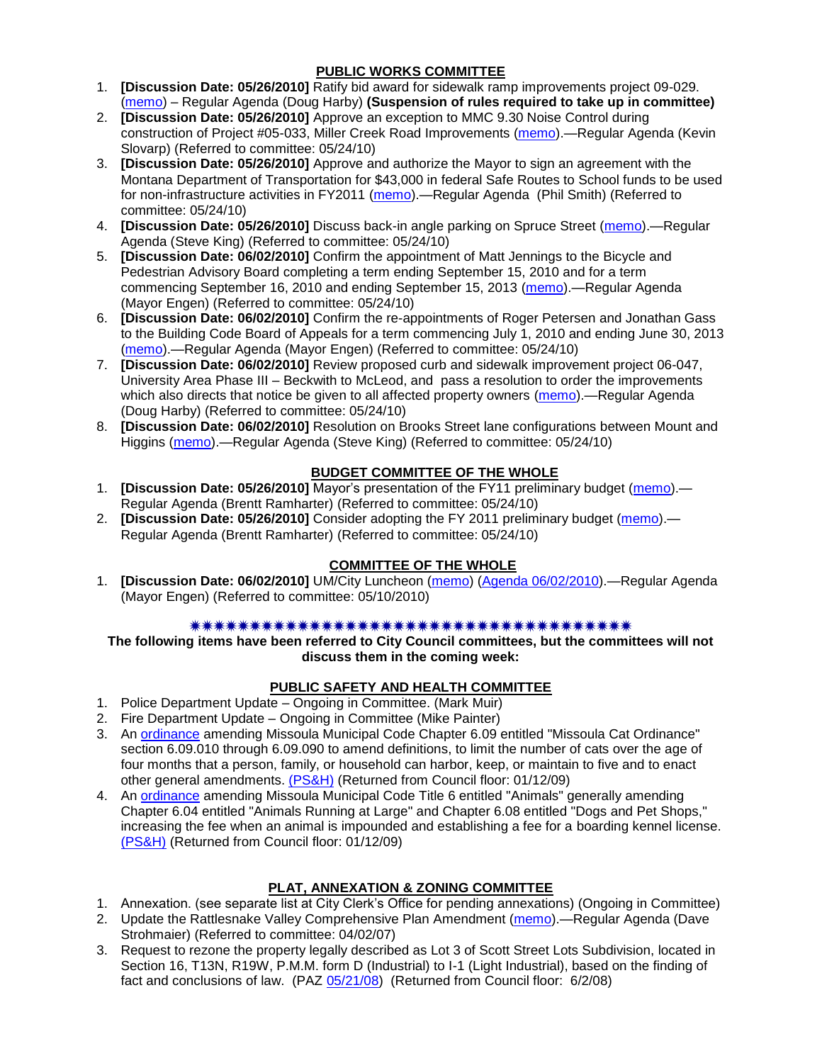### **PUBLIC WORKS COMMITTEE**

- 1. **[Discussion Date: 05/26/2010]** Ratify bid award for sidewalk ramp improvements project 09-029. [\(memo\)](http://www.ci.missoula.mt.us/DocumentView.aspx?DID=3932) – Regular Agenda (Doug Harby) **(Suspension of rules required to take up in committee)**
- 2. **[Discussion Date: 05/26/2010]** Approve an exception to MMC 9.30 Noise Control during construction of Project #05-033, Miller Creek Road Improvements [\(memo\)](http://www.ci.missoula.mt.us/DocumentView.aspx?DID=3889).—Regular Agenda (Kevin Slovarp) (Referred to committee: 05/24/10)
- 3. **[Discussion Date: 05/26/2010]** Approve and authorize the Mayor to sign an agreement with the Montana Department of Transportation for \$43,000 in federal Safe Routes to School funds to be used for non-infrastructure activities in FY2011 [\(memo\)](http://www.ci.missoula.mt.us/DocumentView.aspx?DID=3888).—Regular Agenda (Phil Smith) (Referred to committee: 05/24/10)
- 4. **[Discussion Date: 05/26/2010]** Discuss back-in angle parking on Spruce Street [\(memo\)](http://www.ci.missoula.mt.us/DocumentView.aspx?DID=3890).—Regular Agenda (Steve King) (Referred to committee: 05/24/10)
- 5. **[Discussion Date: 06/02/2010]** Confirm the appointment of Matt Jennings to the Bicycle and Pedestrian Advisory Board completing a term ending September 15, 2010 and for a term commencing September 16, 2010 and ending September 15, 2013 [\(memo\)](http://www.ci.missoula.mt.us/DocumentView.aspx?DID=3880).—Regular Agenda (Mayor Engen) (Referred to committee: 05/24/10)
- 6. **[Discussion Date: 06/02/2010]** Confirm the re-appointments of Roger Petersen and Jonathan Gass to the Building Code Board of Appeals for a term commencing July 1, 2010 and ending June 30, 2013 [\(memo\)](http://www.ci.missoula.mt.us/DocumentView.aspx?DID=3893).—Regular Agenda (Mayor Engen) (Referred to committee: 05/24/10)
- 7. **[Discussion Date: 06/02/2010]** Review proposed curb and sidewalk improvement project 06-047, University Area Phase III – Beckwith to McLeod, and pass a resolution to order the improvements which also directs that notice be given to all affected property owners [\(memo\)](http://www.ci.missoula.mt.us/DocumentView.aspx?DID=3884).—Regular Agenda (Doug Harby) (Referred to committee: 05/24/10)
- 8. **[Discussion Date: 06/02/2010]** Resolution on Brooks Street lane configurations between Mount and Higgins [\(memo\)](http://www.ci.missoula.mt.us/DocumentView.aspx?DID=3891).—Regular Agenda (Steve King) (Referred to committee: 05/24/10)

# **BUDGET COMMITTEE OF THE WHOLE**

- 1. **[Discussion Date: 05/26/2010]** Mayor's presentation of the FY11 preliminary budget [\(memo\)](http://www.ci.missoula.mt.us/DocumentView.aspx?DID=3882).— Regular Agenda (Brentt Ramharter) (Referred to committee: 05/24/10)
- 2. **[Discussion Date: 05/26/2010]** Consider adopting the FY 2011 preliminary budget [\(memo\)](http://www.ci.missoula.mt.us/DocumentView.aspx?DID=3881).— Regular Agenda (Brentt Ramharter) (Referred to committee: 05/24/10)

# **COMMITTEE OF THE WHOLE**

1. **[Discussion Date: 06/02/2010]** UM/City Luncheon [\(memo\)](http://www.ci.missoula.mt.us/DocumentView.aspx?DID=3758) [\(Agenda 06/02/2010\)](http://www.ci.missoula.mt.us/DocumentView.aspx?DID=4000).—Regular Agenda (Mayor Engen) (Referred to committee: 05/10/2010)

### 

**The following items have been referred to City Council committees, but the committees will not discuss them in the coming week:**

# **PUBLIC SAFETY AND HEALTH COMMITTEE**

- 1. Police Department Update Ongoing in Committee. (Mark Muir)
- 2. Fire Department Update Ongoing in Committee (Mike Painter)
- 3. An [ordinance](ftp://ftp.ci.missoula.mt.us/Packets/Council/2008/2008-12-15/2008CatOrdinanceAmendment%5B1%5D.pdf) amending Missoula Municipal Code Chapter 6.09 entitled "Missoula Cat Ordinance" section 6.09.010 through 6.09.090 to amend definitions, to limit the number of cats over the age of four months that a person, family, or household can harbor, keep, or maintain to five and to enact other general amendments. [\(PS&H\)](ftp://ftp.ci.missoula.mt.us/Packets/Council/2008/2008-12-15/081210psh.pdf) (Returned from Council floor: 01/12/09)
- 4. An [ordinance](ftp://ftp.ci.missoula.mt.us/Packets/Council/2008/2008-12-15/DogOrdinance--PSHrevisions.pdf) amending Missoula Municipal Code Title 6 entitled "Animals" generally amending Chapter 6.04 entitled "Animals Running at Large" and Chapter 6.08 entitled "Dogs and Pet Shops," increasing the fee when an animal is impounded and establishing a fee for a boarding kennel license. [\(PS&H\)](ftp://ftp.ci.missoula.mt.us/Packets/Council/2008/2008-12-15/081210psh.pdf) (Returned from Council floor: 01/12/09)

# **PLAT, ANNEXATION & ZONING COMMITTEE**

- 1. Annexation. (see separate list at City Clerk's Office for pending annexations) (Ongoing in Committee)
- 2. Update the Rattlesnake Valley Comprehensive Plan Amendment [\(memo\)](ftp://ftp.ci.missoula.mt.us/Packets/Council/2007/2007-04-02/Referrals/Rattlesnake_Plan_Update_referral.pdf).—Regular Agenda (Dave Strohmaier) (Referred to committee: 04/02/07)
- 3. Request to rezone the property legally described as Lot 3 of Scott Street Lots Subdivision, located in Section 16, T13N, R19W, P.M.M. form D (Industrial) to I-1 (Light Industrial), based on the finding of fact and conclusions of law. (PAZ [05/21/08\)](ftp://ftp.ci.missoula.mt.us/Packets/Council/2008/2008-06-02/080521paz.pdf) (Returned from Council floor: 6/2/08)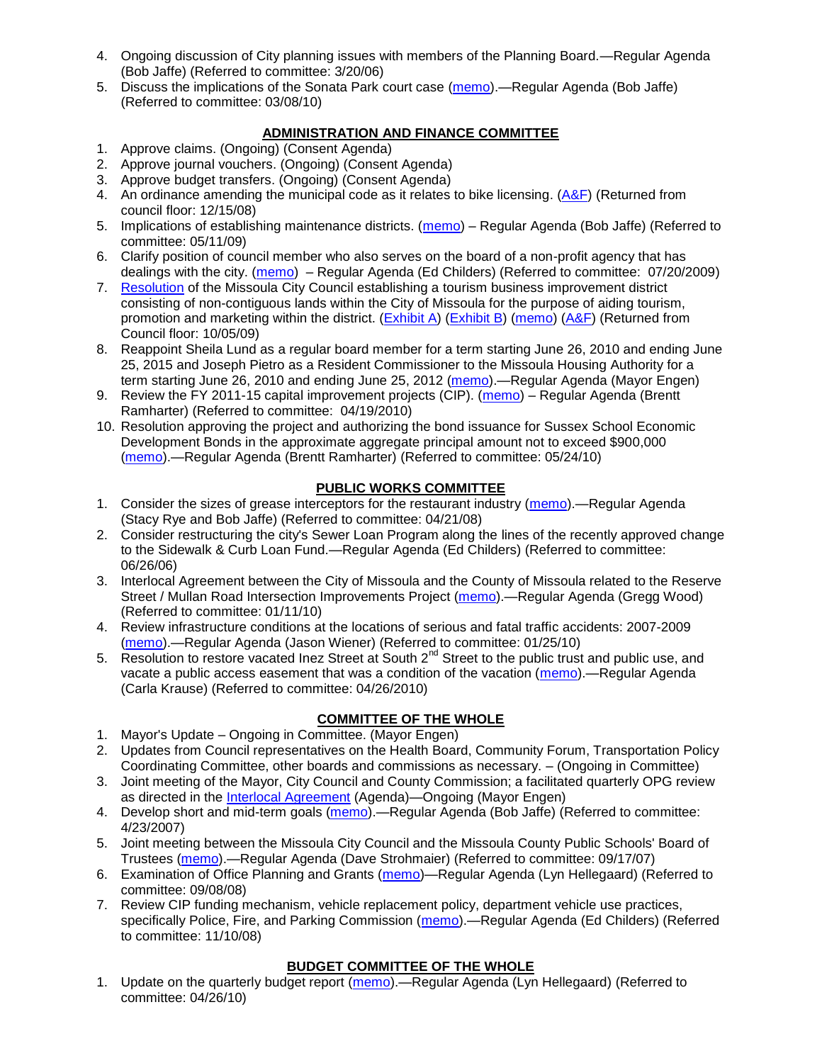- 4. Ongoing discussion of City planning issues with members of the Planning Board.—Regular Agenda (Bob Jaffe) (Referred to committee: 3/20/06)
- 5. Discuss the implications of the Sonata Park court case [\(memo\)](http://www.ci.missoula.mt.us/DocumentView.aspx?DID=3268).—Regular Agenda (Bob Jaffe) (Referred to committee: 03/08/10)

# **ADMINISTRATION AND FINANCE COMMITTEE**

- 1. Approve claims. (Ongoing) (Consent Agenda)
- 2. Approve journal vouchers. (Ongoing) (Consent Agenda)
- 3. Approve budget transfers. (Ongoing) (Consent Agenda)
- 4. An ordinance amending the municipal code as it relates to bike licensing. [\(A&F\)](ftp://ftp.ci.missoula.mt.us/Packets/Council/2008/2008-12-15/081210af.pdf) (Returned from council floor: 12/15/08)
- 5. Implications of establishing maintenance districts. [\(memo\)](ftp://ftp.ci.missoula.mt.us/Packets/Council/2009/2009-05-11/Referrals/MaintenanceDistricts.pdf) Regular Agenda (Bob Jaffe) (Referred to committee: 05/11/09)
- 6. Clarify position of council member who also serves on the board of a non-profit agency that has dealings with the city. [\(memo\)](http://www.ci.missoula.mt.us/DocumentView.aspx?DID=1840) – Regular Agenda (Ed Childers) (Referred to committee: 07/20/2009)
- 7. [Resolution](http://www.ci.missoula.mt.us/DocumentView.aspx?DID=2373) of the Missoula City Council establishing a tourism business improvement district consisting of non-contiguous lands within the City of Missoula for the purpose of aiding tourism, promotion and marketing within the district. [\(Exhibit A\)](http://www.ci.missoula.mt.us/DocumentView.aspx?DID=2090) [\(Exhibit B\)](http://www.ci.missoula.mt.us/DocumentView.aspx?DID=2374) [\(memo\)](http://www.ci.missoula.mt.us/DocumentView.aspx?DID=2097) [\(A&F\)](http://www.ci.missoula.mt.us/Archive.aspx?ADID=1172) (Returned from Council floor: 10/05/09)
- 8. Reappoint Sheila Lund as a regular board member for a term starting June 26, 2010 and ending June 25, 2015 and Joseph Pietro as a Resident Commissioner to the Missoula Housing Authority for a term starting June 26, 2010 and ending June 25, 2012 [\(memo\)](http://www.ci.missoula.mt.us/DocumentView.aspx?DID=3878).—Regular Agenda (Mayor Engen)
- 9. Review the FY 2011-15 capital improvement projects (CIP). [\(memo\)](http://www.ci.missoula.mt.us/DocumentView.aspx?DID=3522) Regular Agenda (Brentt Ramharter) (Referred to committee: 04/19/2010)
- 10. Resolution approving the project and authorizing the bond issuance for Sussex School Economic Development Bonds in the approximate aggregate principal amount not to exceed \$900,000 [\(memo\)](http://www.ci.missoula.mt.us/DocumentView.aspx?DID=3886).—Regular Agenda (Brentt Ramharter) (Referred to committee: 05/24/10)

### **PUBLIC WORKS COMMITTEE**

- 1. Consider the sizes of grease interceptors for the restaurant industry [\(memo\)](ftp://ftp.ci.missoula.mt.us/Packets/Council/2008/2008-04-21/Referrals/Industrial_waste_restaurants.pdf).—Regular Agenda (Stacy Rye and Bob Jaffe) (Referred to committee: 04/21/08)
- 2. Consider restructuring the city's Sewer Loan Program along the lines of the recently approved change to the Sidewalk & Curb Loan Fund.—Regular Agenda (Ed Childers) (Referred to committee: 06/26/06)
- 3. Interlocal Agreement between the City of Missoula and the County of Missoula related to the Reserve Street / Mullan Road Intersection Improvements Project [\(memo\)](http://www.ci.missoula.mt.us/DocumentView.aspx?DID=2959).—Regular Agenda (Gregg Wood) (Referred to committee: 01/11/10)
- 4. Review infrastructure conditions at the locations of serious and fatal traffic accidents: 2007-2009 [\(memo\)](http://www.ci.missoula.mt.us/DocumentView.aspx?DID=3031).—Regular Agenda (Jason Wiener) (Referred to committee: 01/25/10)
- 5. Resolution to restore vacated Inez Street at South 2<sup>nd</sup> Street to the public trust and public use, and vacate a public access easement that was a condition of the vacation [\(memo\)](http://www.ci.missoula.mt.us/DocumentView.aspx?DID=3573).—Regular Agenda (Carla Krause) (Referred to committee: 04/26/2010)

# **COMMITTEE OF THE WHOLE**

- 1. Mayor's Update Ongoing in Committee. (Mayor Engen)
- 2. Updates from Council representatives on the Health Board, Community Forum, Transportation Policy Coordinating Committee, other boards and commissions as necessary. – (Ongoing in Committee)
- 3. Joint meeting of the Mayor, City Council and County Commission; a facilitated quarterly OPG review as directed in the [Interlocal Agreement](ftp://ftp.ci.missoula.mt.us/Documents/Mayor/OPG/Adopted-ILA-2005.pdf) (Agenda)—Ongoing (Mayor Engen)
- 4. Develop short and mid-term goals [\(memo\)](ftp://ftp.ci.missoula.mt.us/Packets/Council/2007/2007-04-23/Referrals/Council_Goals.pdf).—Regular Agenda (Bob Jaffe) (Referred to committee: 4/23/2007)
- 5. Joint meeting between the Missoula City Council and the Missoula County Public Schools' Board of Trustees [\(memo\)](ftp://ftp.ci.missoula.mt.us/Packets/Council/2007/2007-09-17/Referrals/Council_School_Board_referral.pdf).—Regular Agenda (Dave Strohmaier) (Referred to committee: 09/17/07)
- 6. Examination of Office Planning and Grants [\(memo\)](ftp://ftp.ci.missoula.mt.us/Packets/Council/2008/2008-09-08/Referrals/080825HendricksonOPGreferral.pdf)—Regular Agenda (Lyn Hellegaard) (Referred to committee: 09/08/08)
- 7. Review CIP funding mechanism, vehicle replacement policy, department vehicle use practices, specifically Police, Fire, and Parking Commission [\(memo\)](ftp://ftp.ci.missoula.mt.us/Packets/Council/2008/2008-11-10/Referrals/ReviewBudgetary.pdf).—Regular Agenda (Ed Childers) (Referred to committee: 11/10/08)

# **BUDGET COMMITTEE OF THE WHOLE**

1. Update on the quarterly budget report [\(memo\)](http://www.ci.missoula.mt.us/DocumentView.aspx?DID=3554).—Regular Agenda (Lyn Hellegaard) (Referred to committee: 04/26/10)